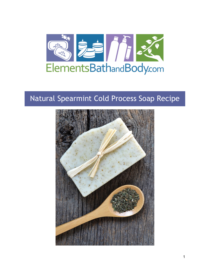

# Natural Spearmint Cold Process Soap Recipe

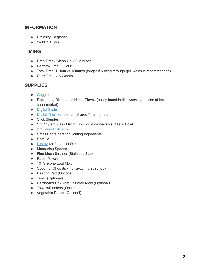# **INFORMATION**

- Difficulty: Beginner
- Yield: 10 Bars

## **TIMING**

- Prep Time / Clean Up: 30 Minutes
- Perform Time: 1 Hour
- Total Time: 1 Hour 30 Minutes (longer if putting through gel, which is recommended)
- Cure Time: 4-6 Weeks

# **SUPPLIES**

- [Goggles](https://www.elementsbathandbody.com/Soap-Making-Goggles-Tortoise.html)
- Extra Long Disposable Nitrile Gloves (easily found in dishwashing section at local supermarket)
- [Digital Scale](https://www.elementsbathandbody.com/Escali-Primo-Digital-Scale-Chrome.html)
- [Digital Thermometer](https://www.elementsbathandbody.com/Digital-Pen-Thermometer.html) or Infrared Thermometer
- Stick Blender
- 1 x 2 Quart Glass Mixing Bowl or Microwavable Plastic Bowl
- 2 x [Funnel Pitchers](https://www.elementsbathandbody.com/3.5-Cup-Funnel-Pitcher.html)
- Small Containers for Holding Ingredients
- Spatula
- [Pipette](https://www.elementsbathandbody.com/Disposable-Pipettes-7-ml.html) for Essential Oils
- Measuring Spoons
- Fine Mesh Strainer (Stainless Steel)
- Paper Towels
- 10" Silicone Loaf Mold
- Spoon or Chopstick (for texturing soap top)
- Heating Pad (Optional)
- Timer (Optional)
- Cardboard Box That Fits over Mold (Optional)
- Towels/Blankets (Optional)
- Vegetable Peeler (Optional)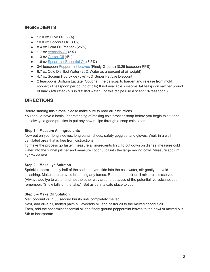# **INGREDIENTS**

- 12.0 oz Olive Oil (36%)
- 10.0 oz Coconut Oil (30%)
- $\bullet$  8.4 oz Palm Oil (melted) (25%)
- 1.7 oz [Avocado Oil](https://www.elementsbathandbody.com/Avocado-Oil.html) (5%)
- $\bullet$  1.3 oz [Castor Oil](https://www.elementsbathandbody.com/Castor-Oil.html) (4%)
- 1.6 oz [Spearmint Essential Oil](https://www.elementsbathandbody.com/Spearmint-Essential-Oil.html) (3.5%)
- 3/4 teaspoon [Peppermint Leaves](https://www.elementsbathandbody.com/Peppermint-Leaves-1-lb.html) (Finely Ground) (0.25 teaspoon PPS)
- 6.7 oz Cold Distilled Water (20% Water as a percent of oil weight)
- 4.7 oz Sodium Hydroxide (Lye) (6% Super Fat/Lye Discount)
- 2 teaspoons Sodium Lactate (Optional) (helps soap to harden and release from mold sooner) (1 teaspoon per pound of oils) If not available, dissolve 1/4 teaspoon salt per pound of hard (saturated) oils in distilled water. For this recipe use a scant 1/4 teaspoon.)

# **DIRECTIONS**

Before starting this tutorial please make sure to read all instructions.

You should have a basic understanding of making cold process soap before you begin this tutorial. It is always a good practice to put any new recipe through a soap calculator.

## **Step 1 – Measure All Ingredients**

Now put on your long sleeves, long pants, shoes, safety goggles, and gloves. Work in a well ventilated area that is free from distractions.

To make the process go faster, measure all ingredients first. To cut down on dishes, measure cold water into the funnel pitcher and measure coconut oil into the large mixing bowl. Measure sodium hydroxide last.

## **Step 2 – Make Lye Solution**

Sprinkle approximately half of the sodium hydroxide into the cold water, stir gently to avoid splashing. Make sure to avoid breathing any fumes. Repeat, and stir until mixture is dissolved. (Always add lye to water and not the other way around because of the potential lye volcano. Just remember, "Snow falls on the lake.") Set aside in a safe place to cool.

## **Step 3 – Make Oil Solution**

Melt coconut oil in 30 second bursts until completely melted.

Next, add olive oil, melted palm oil, avocado oil, and castor oil to the melted coconut oil. Then, add the spearmint essential oil and finely ground peppermint leaves to the bowl of melted oils. Stir to incorporate.